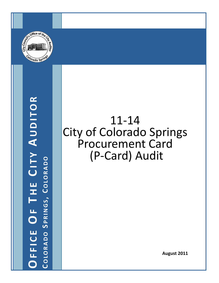

**OFFICE O F T H E CITY AUDITOR COLORADO SPRINGS , COLORADO**

## 11‐14 City of Colorado Springs Procurement Card (P‐Card) Audit

**August 2011**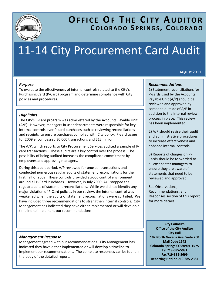

### **OFFICE OF T H E CITY AUDITOR COLORADO S PRINGS , COLORADO**

# 11‐14 City Procurement Card Audit

August 2011

#### *Purpose*

To evaluate the effectiveness of internal controls related to the City's Purchasing Card (P‐Card) program and determine compliance with City policies and procedures.

#### *Highlights*

The City's P‐Card program was administered by the Accounts Payable Unit (A/P). However, managers in user departments were responsible for key internal controls over P‐card purchases such as reviewing reconciliations and receipts to ensure purchases complied with City policy. P-card usage for 2009 encompassed 30,000 transactions and \$13 million.

The A/P, which reports to City Procurement Services audited a sample of P‐ card transactions. These audits are a key control over the process. The possibility of being audited increases the compliance commitment by employees and approving managers.

During this audit period, A/P reviewed for unusual transactions and conducted numerous regular audits of statement reconciliations for the first half of 2009. These controls provided a good control environment around all P‐Card Purchases. However, in July 2009, A/P stopped the regular audits of statement reconciliations. While we did not identify any major violation of P‐Card policies in our review, the internal control was weakened when the audits of statement reconciliations were curtailed. We have included three recommendations to strengthen internal controls. City Management has indicated they have either implemented or will develop a timeline to implement our recommendations.

#### *Management Response*

Management agreed with our recommendations. City Management has indicated they have either implemented or will develop a timeline to implement our recommendations. The complete responses can be found in the body of the detailed report.

#### *Recommendations*

1) Statement reconciliations for P‐cards used by the Accounts Payable Unit (A/P) should be reviewed and approved by someone outside of A/P in addition to the internal review process in place. This review has been implemented.

2) A/P should revise their audit and administrative procedures to increase effectiveness and enhance internal controls.

3) Reports of charges on P‐ Cards should be forwarded to all cost center managers to ensure they are aware of statements that need to be reviewed and approved.

See Observations, Recommendations, and Responses section of this report for more details.

**City Council's Office of the City Auditor City Hall 107 North Nevada Ave. Suite 200 Mail Code 1542 Colorado Springs CO 80901‐1575 Tel 719‐385‐5991 Fax 719‐385‐5699 Reporting Hotline 719‐385‐2387**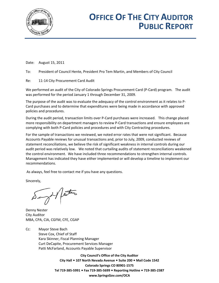

## **OFFICE OF THE CITY AUDITOR PUBLIC REPORT**

Date: August 15, 2011

To: President of Council Hente, President Pro Tem Martin, and Members of City Council

Re: 11‐14 City Procurement Card Audit

We performed an audit of the City of Colorado Springs Procurement Card (P-Card) program. The audit was performed for the period January 1 through December 31, 2009.

The purpose of the audit was to evaluate the adequacy of the control environment as it relates to P‐ Card purchases and to determine that expenditures were being made in accordance with approved policies and procedures.

During the audit period, transaction limits over P‐Card purchases were increased. This change placed more responsibility on department managers to review P‐Card transactions and ensure employees are complying with both P‐Card policies and procedures and with City Contracting procedures.

For the sample of transactions we reviewed, we noted error rates that were not significant. Because Accounts Payable reviews for unusual transactions and, prior to July, 2009, conducted reviews of statement reconciliations, we believe the risk of significant weakness in internal controls during our audit period was relatively low. We noted that curtailing audits of statement reconciliations weakened the control environment. We have included three recommendations to strengthen internal controls. Management has indicated they have either implemented or will develop a timeline to implement our recommendations.

As always, feel free to contact me if you have any questions.

Sincerely,

 $\sim$ / esta

Denny Nester City Auditor MBA, CPA, CIA, CGFM, CFE, CGAP

Cc: Mayor Steve Bach Steve Cox, Chief of Staff Kara Skinner, Fiscal Planning Manager Curt DeCapite, Procurement Services Manager Patti McFarland, Accounts Payable Supervisor

> **City Council's Office of the City Auditor City Hall 107 North Nevada Avenue Suite 200 Mail Code 1542 Colorado Springs CO 80901‐1575 Tel 719‐385‐5991 Fax 719‐385‐5699 Reporting Hotline 719‐385‐2387 www.SpringsGov.com/OCA**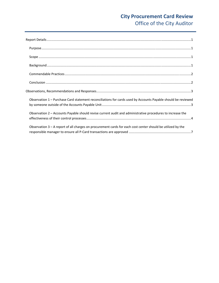### **City Procurement Card Review** Office of the City Auditor

| $\textbf{Scope} \textit{ \textbf{} \textbf{} \textbf{} \textbf{} \textbf{} \textbf{} \textbf{} \textbf{} \textbf{} \textbf{} \textbf{} \textbf{} \textbf{} \textbf{} \textbf{} \textbf{} \textbf{} \textbf{} \textbf{} \textbf{} \textbf{} \textbf{} \textbf{} \textbf{} \textbf{} \textbf{} \textbf{} \textbf{} \textbf{} \textbf{} \textbf{} \textbf{} \textbf{} \textbf{} \textbf{}$ |
|-----------------------------------------------------------------------------------------------------------------------------------------------------------------------------------------------------------------------------------------------------------------------------------------------------------------------------------------------------------------------------------------|
|                                                                                                                                                                                                                                                                                                                                                                                         |
|                                                                                                                                                                                                                                                                                                                                                                                         |
|                                                                                                                                                                                                                                                                                                                                                                                         |
|                                                                                                                                                                                                                                                                                                                                                                                         |
| Observation 1 - Purchase Card statement reconciliations for cards used by Accounts Payable should be reviewed                                                                                                                                                                                                                                                                           |
| Observation 2 - Accounts Payable should revise current audit and administrative procedures to increase the                                                                                                                                                                                                                                                                              |
| Observation 3 - A report of all charges on procurement cards for each cost center should be utilized by the                                                                                                                                                                                                                                                                             |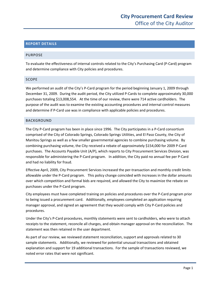#### <span id="page-4-0"></span>**REPORT DETAILS**

#### PURPOSE

To evaluate the effectiveness of internal controls related to the City's Purchasing Card (P‐Card) program and determine compliance with City policies and procedures.

#### SCOPE

We performed an audit of the City's P-Card program for the period beginning January 1, 2009 through December 31, 2009. During the audit period, the City utilized P‐Cards to complete approximately 30,000 purchases totaling \$13,008,554. At the time of our review, there were 714 active cardholders. The purpose of the audit was to examine the existing accounting procedures and internal control measures and determine if P-Card use was in compliance with applicable policies and procedures.

#### BACKGROUND

The City P‐Card program has been in place since 1996. The City participates in a P‐Card consortium comprised of the City of Colorado Springs, Colorado Springs Utilities, and El Paso County, the City of Manitou Springs as well as a few smaller governmental agencies to combine purchasing volume. By combining purchasing volume, the City received a rebate of approximately \$154,000 for 2009 P‐Card purchases. The Accounts Payable Unit (A/P), which reports to City Procurement Services Division, was responsible for administering the P‐Card program. In addition, the City paid no annual fee per P‐Card and had no liability for fraud.

Effective April, 2009, City Procurement Services increased the per‐transaction and monthly credit limits allowable under the P‐Card program. This policy change coincided with increases in the dollar amounts over which competition and formal bids are required, and allowed the City to maximize the rebate on purchases under the P‐Card program.

City employees must have completed training on policies and procedures over the P‐Card program prior to being issued a procurement card. Additionally, employees completed an application requiring manager approval, and signed an agreement that they would comply with City P-Card policies and procedures.

Under the City's P-Card procedures, monthly statements were sent to cardholders, who were to attach receipts to the statement, reconcile all charges, and obtain manager approval on the reconciliation. The statement was then retained in the user department.

As part of our review, we reviewed statement reconciliation, support and approvals related to 30 sample statements. Additionally, we reviewed for potential unusual transactions and obtained explanation and support for 19 additional transactions. For the sample of transactions reviewed, we noted error rates that were not significant.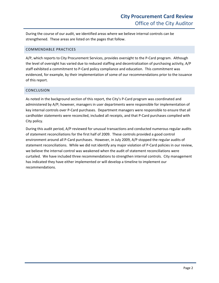<span id="page-5-0"></span>During the course of our audit, we identified areas where we believe internal controls can be strengthened. These areas are listed on the pages that follow.

#### COMMENDABLE PRACTICES

A/P, which reports to City Procurement Services, provides oversight to the P‐Card program. Although the level of oversight has varied due to reduced staffing and decentralization of purchasing activity, A/P staff exhibited a commitment to P‐Card policy compliance and education. This commitment was evidenced, for example, by their implementation of some of our recommendations prior to the issuance of this report.

#### CONCLUSION

As noted in the background section of this report, the City's P‐Card program was coordinated and administered by A/P; however, managers in user departments were responsible for implementation of key internal controls over P-Card purchases. Department managers were responsible to ensure that all cardholder statements were reconciled, included all receipts, and that P‐Card purchases complied with City policy.

During this audit period, A/P reviewed for unusual transactions and conducted numerous regular audits of statement reconciliations for the first half of 2009. These controls provided a good control environment around all P-Card purchases. However, in July 2009, A/P stopped the regular audits of statement reconciliations. While we did not identify any major violation of P-Card policies in our review, we believe the internal control was weakened when the audit of statement reconciliations were curtailed. We have included three recommendations to strengthen internal controls. City management has indicated they have either implemented or will develop a timeline to implement our recommendations.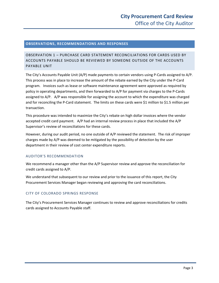#### <span id="page-6-0"></span>**OBSERVATIONS, RECOMMENDATIONS AND RESPONSES**

#### OBSERVATION 1 – PURCHASE CARD STATEMENT RECONCILIATIONS FOR CARDS USED BY ACCOUNTS PAYABLE SHOULD BE REVIEWED BY SOMEONE OUTSIDE OF THE ACCOUNTS PAYABLE UNIT

The City's Accounts Payable Unit (A/P) made payments to certain vendors using P‐Cards assigned to A/P. This process was in place to increase the amount of the rebate earned by the City under the P‐Card program. Invoices such as lease or software maintenance agreement were approved as required by policy in operating departments, and then forwarded to A/P for payment via charges to the P‐Cards assigned to A/P. A/P was responsible for assigning the account to which the expenditure was charged and for reconciling the P-Card statement. The limits on these cards were \$1 million to \$1.5 million per transaction.

This procedure was intended to maximize the City's rebate on high dollar invoices where the vendor accepted credit card payment. A/P had an internal review process in place that included the A/P Supervisor's review of reconciliations for these cards.

However, during our audit period, no one outside of A/P reviewed the statement. The risk of improper charges made by A/P was deemed to be mitigated by the possibility of detection by the user department in their review of cost center expenditure reports.

#### AUDITOR'S RECOMMENDATION

We recommend a manager other than the A/P Supervisor review and approve the reconciliation for credit cards assigned to A/P.

We understand that subsequent to our review and prior to the issuance of this report, the City Procurement Services Manager began reviewing and approving the card reconciliations.

#### CITY OF COLORADO SPRINGS RESPONSE

The City's Procurement Services Manager continues to review and approve reconciliations for credits cards assigned to Accounts Payable staff.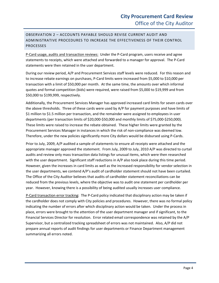#### <span id="page-7-0"></span>OBSERVATION 2 – ACCOUNTS PAYABLE SHOULD REVISE CURRENT AUDIT AND ADMINISTRATIVE PROCEDURES TO INCREASE THE EFFECTIVENESS OF THEIR CONTROL PROCESSES

P‐Card usage, audits and transaction reviews: Under the P‐Card program, users receive and agree statements to receipts, which were attached and forwarded to a manager for approval. The P‐Card statements were then retained in the user department.

During our review period, A/P and Procurement Services staff levels were reduced. For this reason and to increase rebate earnings on purchases, P-Card limits were increased from \$5,000 to \$10,000 per transaction with a limit of \$50,000 per month. At the same time, the amounts over which informal quotes and formal competition (bids) were required, were raised from \$5,000 to \$19,999 and from \$50,000 to \$199,999, respectively.

Additionally, the Procurement Services Manager has approved increased card limits for seven cards over the above thresholds. Three of these cards were used by A/P for payment purposes and have limits of \$1 million to \$1.5 million per transaction, and the remainder were assigned to employees in user departments (per transaction limits of \$20,000‐\$50,000 and monthly limits of \$75,000‐\$250,000). These limits were raised to increase the rebate obtained. These higher limits were granted by the Procurement Services Manager in instances in which the risk of non‐compliance was deemed low. Therefore, under the new policies significantly more City dollars would be disbursed using P‐Cards.

Prior to July, 2009, A/P audited a sample of statements to ensure all receipts were attached and the appropriate manager approved the statement. From July, 2009 to July, 2010 A/P was directed to curtail audits and review only mass transaction data listings for unusual items, which were then researched with the user department. Significant staff reductions in A/P also took place during this time period. However, given the increases in card limits as well as the increased responsibility for vendor selection in the user departments, we contend A/P's audit of cardholder statement should not have been curtailed. The Office of the City Auditor believes that audits of cardholder statement reconciliations can be reduced from the previous levels, where the objective was to audit one statement per cardholder per year. However, knowing there is a possibility of being audited usually increases user compliance.

P‐Card transaction error tracking: The P‐Card policy indicated that disciplinary action may be taken if the cardholder does not comply with City policies and procedures. However, there was no formal policy indicating the number of errors after which disciplinary action would be taken. Under the process in place, errors were brought to the attention of the user department manager and if significant, to the Financial Services Director for resolution. Error related email correspondence was retained by the A/P Supervisor, but a centralized tracking spreadsheet of errors was not maintained. Also, A/P did not prepare annual reports of audit findings for user departments or Finance Department management summarizing all errors noted.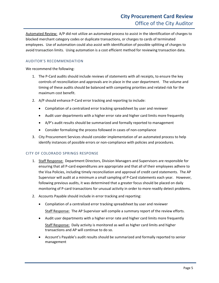Automated Review: A/P did not utilize an automated process to assist in the identification of charges to blocked merchant category codes or duplicate transactions, or charges to cards of terminated employees. Use of automation could also assist with identification of possible splitting of charges to avoid transaction limits. Using automation is a cost efficient method for reviewing transaction data.

#### AUDITOR'S RECOMMENDATION

We recommend the following:

- 1. The P-Card audits should include reviews of statements with all receipts, to ensure the key controls of reconciliation and approvals are in place in the user department. The volume and timing of these audits should be balanced with competing priorities and related risk for the maximum cost benefit.
- 2. A/P should enhance P-Card error tracking and reporting to include:
	- Compilation of a centralized error tracking spreadsheet by user and reviewer
	- Audit user departments with a higher error rate and higher card limits more frequently
	- A/P's audit results should be summarized and formally reported to management
	- Consider formalizing the process followed in cases of non‐compliance
- 3. City Procurement Services should consider implementation of an automated process to help identify instances of possible errors or non-compliance with policies and procedures.

#### CITY OF COLORADO SPRINGS RESPONSE

- 1. Staff Response: Department Directors, Division Managers and Supervisors are responsible for ensuring that all P‐card expenditures are appropriate and that all of their employees adhere to the Visa Policies, including timely reconciliation and approval of credit card statements. The AP Supervisor will audit at a minimum a small sampling of P‐Card statements each year. However, following previous audits, it was determined that a greater focus should be placed on daily monitoring of P‐card transactions for unusual activity in order to more readily detect problems.
- 2. Accounts Payable should include in error tracking and reporting:
	- Compilation of a centralized error tracking spreadsheet by user and reviewer Staff Response: The AP Supervisor will compile a summary report of the review efforts.
	- Audit user departments with a higher error rate and higher card limits more frequently Staff Response: Daily activity is monitored as well as higher card limits and higher transactions and AP will continue to do so.
	- Account's Payable's audit results should be summarized and formally reported to senior management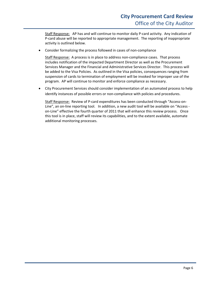Staff Response: AP has and will continue to monitor daily P-card activity. Any indication of P‐card abuse will be reported to appropriate management. The reporting of inappropriate activity is outlined below.

• Consider formalizing the process followed in cases of non‐compliance

Staff Response: A process is in place to address non‐compliance cases. That process includes notification of the impacted Department Director as well as the Procurement Services Manager and the Financial and Administrative Services Director. This process will be added to the Visa Policies. As outlined in the Visa policies, consequences ranging from suspension of cards to termination of employment will be invoked for improper use of the program. AP will continue to monitor and enforce compliance as necessary.

• City Procurement Services should consider implementation of an automated process to help identify instances of possible errors or non‐compliance with policies and procedures.

Staff Response: Review of P-card expenditures has been conducted through "Access-on-Line", an on-line reporting tool. In addition, a new audit tool will be available on "Access on-Line" effective the fourth quarter of 2011 that will enhance this review process. Once this tool is in place, staff will review its capabilities, and to the extent available, automate additional monitoring processes.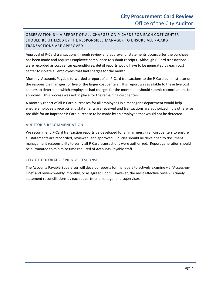#### <span id="page-10-0"></span>OBSERVATION 3 – A REPORT OF ALL CHARGES ON P‐CARDS FOR EACH COST CENTER SHOULD BE UTILIZED BY THE RESPONSIBLE MANAGER TO ENSURE ALL P‐CARD TRANSACTIONS ARE APPROVED

Approval of P‐Card transactions through review and approval of statements occurs after the purchase has been made and requires employee compliance to submit receipts. Although P‐Card transactions were recorded as cost center expenditures, detail reports would have to be generated by each cost center to isolate all employees that had charges for the month.

Monthly, Accounts Payable forwarded a report of all P‐Card transactions to the P‐Card administrator or the responsible manager for five of the larger cost centers. This report was available to these five cost centers to determine which employees had charges for the month and should submit reconciliations for approval. This process was not in place for the remaining cost centers.

A monthly report of all P‐Card purchases for all employees in a manager's department would help ensure employee's receipts and statements are received and transactions are authorized. It is otherwise possible for an improper P‐Card purchase to be made by an employee that would not be detected.

#### AUDITOR'S RECOMMENDATION

We recommend P-Card transaction reports be developed for all managers in all cost centers to ensure all statements are reconciled, reviewed, and approved. Policies should be developed to document management responsibility to verify all P‐Card transactions were authorized. Report generation should be automated to minimize time required of Accounts Payable staff.

#### CITY OF COLORADO SPRINGS RESPONSE

The Accounts Payable Supervisor will develop reports for managers to actively examine via "Access-on-Line" and review weekly, monthly, or as agreed upon. However, the most effective review is timely statement reconciliations by each department manager and supervisor.